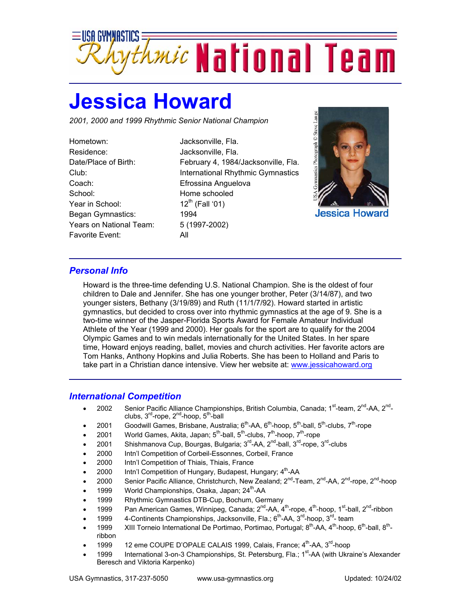

## **Jessica Howard**

*2001, 2000 and 1999 Rhythmic Senior National Champion* 

Hometown: Jacksonville, Fla. Residence: Jacksonville, Fla. Coach: Efrossina Anguelova School: Home schooled Year in School:  $12^{th}$  (Fall '01) Began Gymnastics: 1994 Years on National Team: 5 (1997-2002) Favorite Event: All

Date/Place of Birth: February 4, 1984/Jacksonville, Fla. Club: International Rhythmic Gymnastics



## *Personal Info*

Howard is the three-time defending U.S. National Champion. She is the oldest of four children to Dale and Jennifer. She has one younger brother, Peter (3/14/87), and two younger sisters, Bethany (3/19/89) and Ruth (11/1/7/92). Howard started in artistic gymnastics, but decided to cross over into rhythmic gymnastics at the age of 9. She is a two-time winner of the Jasper-Florida Sports Award for Female Amateur Individual Athlete of the Year (1999 and 2000). Her goals for the sport are to qualify for the 2004 Olympic Games and to win medals internationally for the United States. In her spare time, Howard enjoys reading, ballet, movies and church activities. Her favorite actors are Tom Hanks, Anthony Hopkins and Julia Roberts. She has been to Holland and Paris to take part in a Christian dance intensive. View her website at: www.jessicahoward.org

## *International Competition*

- 2002 Senior Pacific Alliance Championships, British Columbia, Canada; 1<sup>st</sup>-team, 2<sup>nd</sup>-AA, 2<sup>nd</sup>clubs,  $3^{rd}$ -rope,  $2^{nd}$ -hoop,  $5^{th}$ -ball
- 2001 Goodwill Games, Brisbane, Australia;  $6^{th}$ -AA,  $6^{th}$ -hoop,  $5^{th}$ -ball,  $5^{th}$ -clubs,  $7^{th}$ -rope
- 2001 World Games, Akita, Japan;  $5<sup>th</sup>$ -ball,  $5<sup>th</sup>$ -clubs,  $7<sup>th</sup>$ -hoop,  $7<sup>th</sup>$ -rope
- 2001 Shishmanova Cup, Bourgas, Bulgaria;  $3^{\text{rd}}$ -AA,  $2^{\text{nd}}$ -ball,  $3^{\text{rd}}$ -rope,  $3^{\text{rd}}$ -clubs
- 2000 Intn'l Competition of Corbeil-Essonnes, Corbeil, France
- 2000 Intn'l Competition of Thiais, Thiais, France
- 2000 Intn'l Competition of Hungary, Budapest, Hungary; 4<sup>th</sup>-AA
- 2000 Senior Pacific Alliance, Christchurch, New Zealand; 2<sup>nd</sup>-Team, 2<sup>nd</sup>-AA, 2<sup>nd</sup>-rope, 2<sup>nd</sup>-hoop
- 1999 World Championships, Osaka, Japan; 24<sup>th</sup>-AA
- 1999 Rhythmic Gymnastics DTB-Cup, Bochum, Germany
- 1999 Pan American Games, Winnipeg, Canada;  $2^{nd}$ -AA,  $4^{th}$ -rope,  $4^{th}$ -hoop, 1<sup>st</sup>-ball,  $2^{nd}$ -ribbon
- 1999  $\,$  4-Continents Championships, Jacksonville, Fla.; 6<sup>th</sup>-AA, 3<sup>rd</sup>-hoop, 3<sup>rd</sup>- team
- 1999 XIII Torneio International De Portimao, Portimao, Portugal; 8<sup>th</sup>-AA, 4<sup>th</sup>-hoop, 6<sup>th</sup>-ball, 8<sup>th</sup>ribbon
- 1999 12 eme COUPE D'OPALE CALAIS 1999, Calais, France; 4<sup>th</sup>-AA, 3<sup>rd</sup>-hoop
- 1999 International 3-on-3 Championships, St. Petersburg, Fla.; 1<sup>st</sup>-AA (with Ukraine's Alexander Beresch and Viktoria Karpenko)